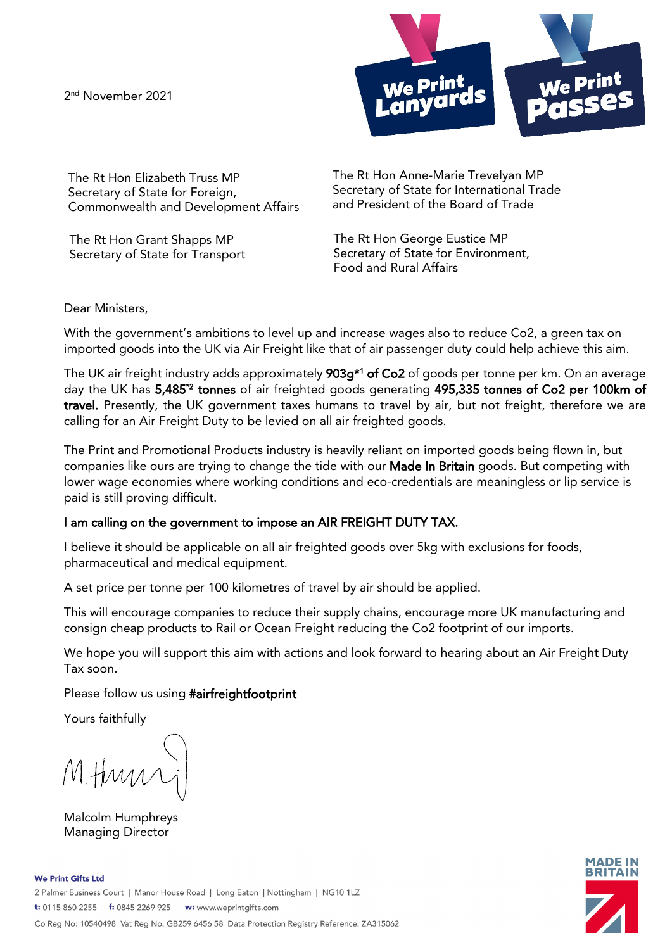2<sup>nd</sup> November 2021



The Rt Hon Elizabeth Truss MP Secretary of State for Foreign, Commonwealth and Development Affairs

The Rt Hon Grant Shapps MP Secretary of State for Transport The Rt Hon Anne-Marie Trevelyan MP Secretary of State for International Trade and President of the Board of Trade

The Rt Hon George Eustice MP Secretary of State for Environment, Food and Rural Affairs

Dear Ministers,

With the government's ambitions to level up and increase wages also to reduce Co2, a green tax on imported goods into the UK via Air Freight like that of air passenger duty could help achieve this aim.

The UK air freight industry adds approximately **903g\*1 of Co2** of goods per tonne per km. On an average day the UK has 5,485\*2 tonnes of air freighted goods generating 495,335 tonnes of Co2 per 100km of travel. Presently, the UK government taxes humans to travel by air, but not freight, therefore we are calling for an Air Freight Duty to be levied on all air freighted goods.

The Print and Promotional Products industry is heavily reliant on imported goods being flown in, but companies like ours are trying to change the tide with our Made In Britain goods. But competing with lower wage economies where working conditions and eco-credentials are meaningless or lip service is paid is still proving difficult.

## I am calling on the government to impose an AIR FREIGHT DUTY TAX.

I believe it should be applicable on all air freighted goods over 5kg with exclusions for foods, pharmaceutical and medical equipment.

A set price per tonne per 100 kilometres of travel by air should be applied.

This will encourage companies to reduce their supply chains, encourage more UK manufacturing and consign cheap products to Rail or Ocean Freight reducing the Co2 footprint of our imports.

We hope you will support this aim with actions and look forward to hearing about an Air Freight Duty Tax soon.

Please follow us using #airfreightfootprint

Yours faithfully

M.Hum

Malcolm Humphreys Managing Director

**We Print Gifts Ltd**